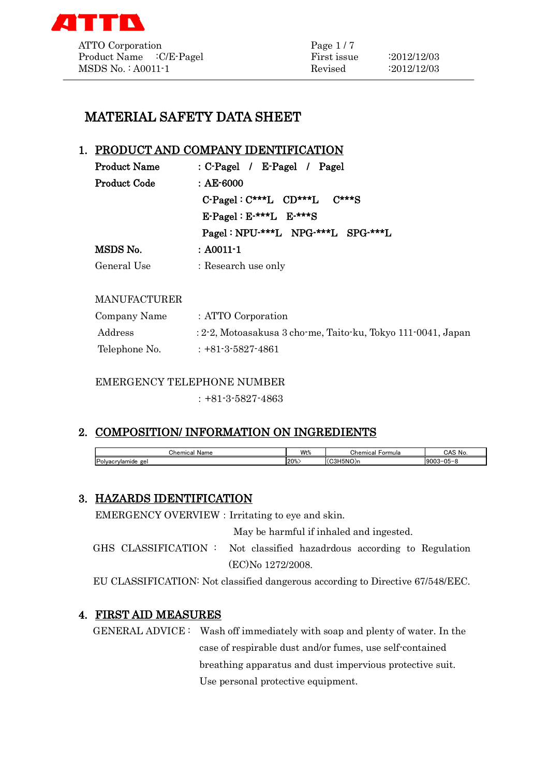

# MATERIAL SAFETY DATA SHEET

## 1. PRODUCT AND COMPANY IDENTIFICATION

| <b>Product Name</b> | : C-Pagel / E-Pagel / Pagel                            |
|---------------------|--------------------------------------------------------|
| <b>Product Code</b> | : $AE-6000$                                            |
|                     | $C$ -Pagel: $C$ ***L $CD$ ***L $C$ ***S                |
|                     | $E\text{-}\text{Pagel}: E\text{-}***L$ $E\text{-}***S$ |
|                     | Pagel: NPU-***L NPG-***L SPG-***L                      |
| MSDS No.            | : A0011-1                                              |
| General Use         | : Research use only                                    |

#### MANUFACTURER

| Company Name  | : ATTO Corporation                                           |
|---------------|--------------------------------------------------------------|
| Address       | : 2-2, Motoasakusa 3 cho-me, Taito-ku, Tokyo 111-0041, Japan |
| Telephone No. | $: +81 - 3 - 5827 - 4861$                                    |

EMERGENCY TELEPHONE NUMBER

:+81-3-5827-4863

## 2. COMPOSITION/ INFORMATION ON INGREDIENTS

| $\sim$<br>Chemical<br>Name | 14/140<br>VVUX  | Formula<br>Chemical   | CAS N<br>' No   |
|----------------------------|-----------------|-----------------------|-----------------|
| Polvacrylamide<br>ge       | $ 20\% \rangle$ | (C3H5NO) <sub>n</sub> | $9003 - 05 - 8$ |

## 3. HAZARDS IDENTIFICATION

EMERGENCY OVERVIEW: Irritating to eye and skin.

May be harmful if inhaled and ingested.

GHS CLASSIFICATION : Not classified hazadrdous according to Regulation (EC)No 1272/2008.

EU CLASSIFICATION: Not classified dangerous according to Directive 67/548/EEC.

## 4. FIRST AID MEASURES

GENERAL ADVICE : Wash off immediately with soap and plenty of water. In the case of respirable dust and/or fumes, use self-contained breathing apparatus and dust impervious protective suit. Use personal protective equipment.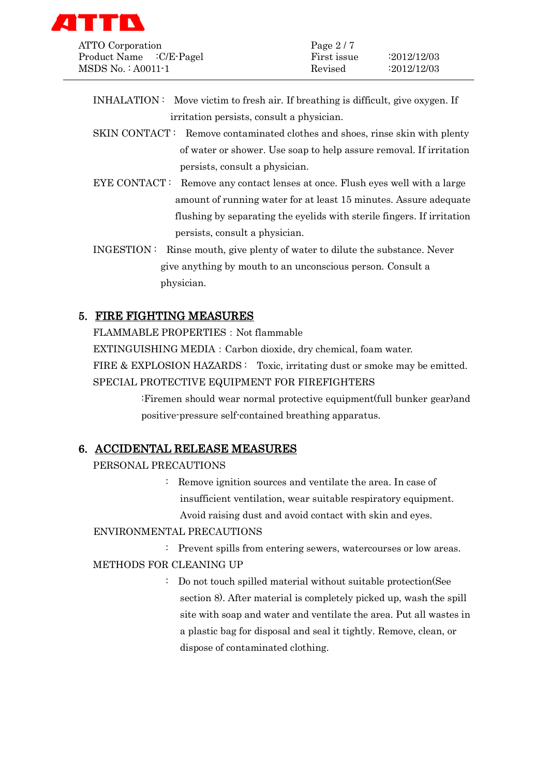

| ATTO Corporation         | Page $2/7$  |                    |
|--------------------------|-------------|--------------------|
| Product Name : C/E-Pagel | First issue | $\cdot 2012/12/03$ |
| MSDS No.: A0011-1        | Revised     | :2012/12/03        |

- INHALATION : Move victim to fresh air. If breathing is difficult, give oxygen. If irritation persists, consult a physician.
- SKIN CONTACT : Remove contaminated clothes and shoes, rinse skin with plenty of water or shower. Use soap to help assure removal. If irritation persists, consult a physician.
- EYE CONTACT: Remove any contact lenses at once. Flush eyes well with a large amount of running water for at least 15 minutes. Assure adequate flushing by separating the eyelids with sterile fingers. If irritation persists, consult a physician.
- INGESTION : Rinse mouth, give plenty of water to dilute the substance. Never give anything by mouth to an unconscious person. Consult a physician.

## 5. FIRE FIGHTING MEASURES

FLAMMABLE PROPERTIES: Not flammable

EXTINGUISHING MEDIA:Carbon dioxide, dry chemical, foam water.

FIRE & EXPLOSION HAZARDS: Toxic, irritating dust or smoke may be emitted.

SPECIAL PROTECTIVE EQUIPMENT FOR FIREFIGHTERS

:Firemen should wear normal protective equipment(full bunker gear)and positive-pressure self-contained breathing apparatus.

## 6. ACCIDENTAL RELEASE MEASURES

## PERSONAL PRECAUTIONS

: Remove ignition sources and ventilate the area. In case of insufficient ventilation, wear suitable respiratory equipment. Avoid raising dust and avoid contact with skin and eyes.

## ENVIRONMENTAL PRECAUTIONS

: Prevent spills from entering sewers, watercourses or low areas.

## METHODS FOR CLEANING UP

: Do not touch spilled material without suitable protection(See section 8). After material is completely picked up, wash the spill site with soap and water and ventilate the area. Put all wastes in a plastic bag for disposal and seal it tightly. Remove, clean, or dispose of contaminated clothing.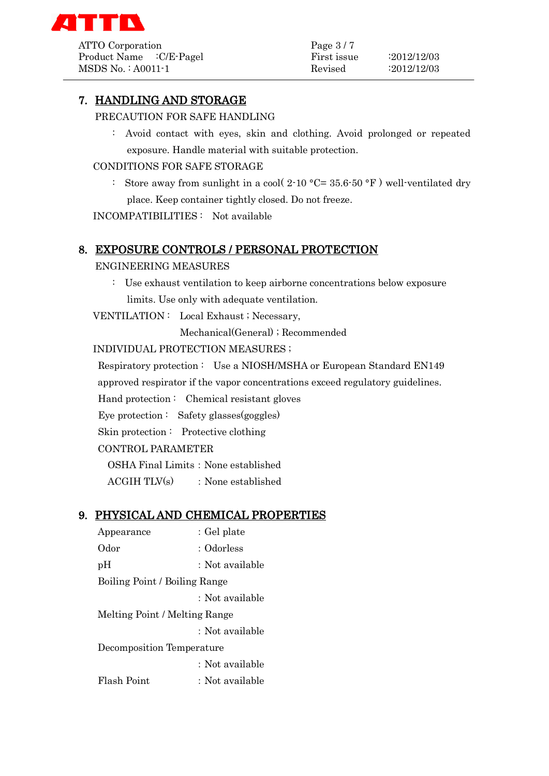

ATTO Corporation Page 3/7 Product Name :C/E-Pagel First issue :2012/12/03 MSDS No. : A0011-1 Revised :2012/12/03

## 7. HANDLING AND STORAGE

PRECAUTION FOR SAFE HANDLING

: Avoid contact with eyes, skin and clothing. Avoid prolonged or repeated exposure. Handle material with suitable protection.

### CONDITIONS FOR SAFE STORAGE

: Store away from sunlight in a cool(  $2$ -10 °C= 35.6-50 °F) well-ventilated dry place. Keep container tightly closed. Do not freeze.

INCOMPATIBILITIES : Not available

#### 8. EXPOSURE CONTROLS / PERSONAL PROTECTION

#### ENGINEERING MEASURES

: Use exhaust ventilation to keep airborne concentrations below exposure limits. Use only with adequate ventilation.

VENTILATION : Local Exhaust ; Necessary,

Mechanical(General) ; Recommended

INDIVIDUAL PROTECTION MEASURES ;

 Respiratory protection : Use a NIOSH/MSHA or European Standard EN149 approved respirator if the vapor concentrations exceed regulatory guidelines.

Hand protection : Chemical resistant gloves

Eye protection : Safety glasses(goggles)

Skin protection : Protective clothing

CONTROL PARAMETER

OSHA Final Limits: None established

 $ACGIH TIX(s)$  : None established

#### 9. PHYSICAL AND CHEMICAL PROPERTIES

Appearance : Gel plate Odor : Odorless pH : Not available Boiling Point / Boiling Range :Not available Melting Point / Melting Range :Not available Decomposition Temperature :Not available Flash Point : Not available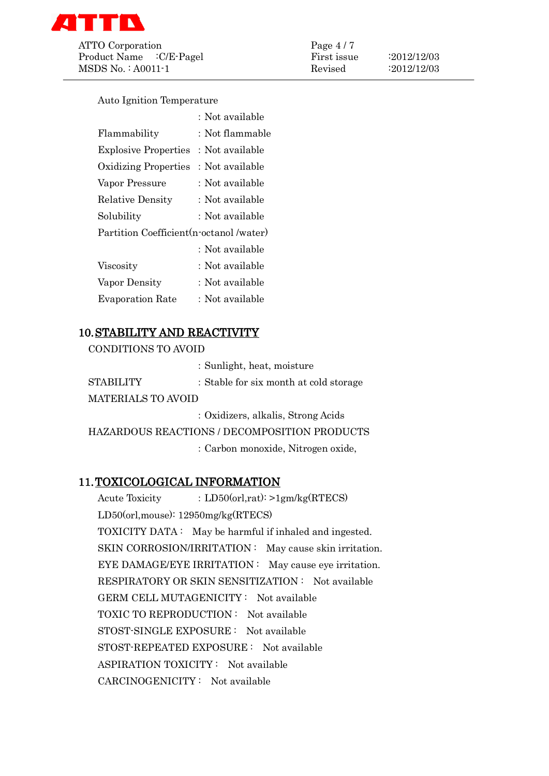

ATTO Corporation Page 4/7 Product Name : C/E-Pagel First issue : 2012/12/03 MSDS No.: A0011-1 Revised :2012/12/03

Auto Ignition Temperature

|                                          | : Not available |  |
|------------------------------------------|-----------------|--|
| Flammability                             | : Not flammable |  |
| <b>Explosive Properties</b>              | : Not available |  |
| <b>Oxidizing Properties</b>              | : Not available |  |
| Vapor Pressure                           | : Not available |  |
| <b>Relative Density</b>                  | : Not available |  |
| Solubility                               | : Not available |  |
| Partition Coefficient (n-octanol /water) |                 |  |
|                                          | : Not available |  |
| Viscosity                                | : Not available |  |
| Vapor Density                            | : Not available |  |
| <b>Evaporation Rate</b>                  | : Not available |  |

## 10.STABILITY AND REACTIVITY

CONDITIONS TO AVOID

|                    | : Sunlight, heat, moisture             |
|--------------------|----------------------------------------|
| STABILITY          | : Stable for six month at cold storage |
| MATERIALS TO AVOID |                                        |
|                    | : Oxidizers, alkalis, Strong Acids     |

HAZARDOUS REACTIONS / DECOMPOSITION PRODUCTS :Carbon monoxide, Nitrogen oxide,

## 11.TOXICOLOGICAL INFORMATION

Acute Toxicity : LD50(orl,rat): >1gm/kg(RTECS) LD50(orl,mouse): 12950mg/kg(RTECS) TOXICITY DATA : May be harmful if inhaled and ingested. SKIN CORROSION/IRRITATION : May cause skin irritation. EYE DAMAGE/EYE IRRITATION : May cause eye irritation. RESPIRATORY OR SKIN SENSITIZATION : Not available GERM CELL MUTAGENICITY : Not available TOXIC TO REPRODUCTION : Not available STOST-SINGLE EXPOSURE : Not available STOST-REPEATED EXPOSURE : Not available ASPIRATION TOXICITY : Not available CARCINOGENICITY : Not available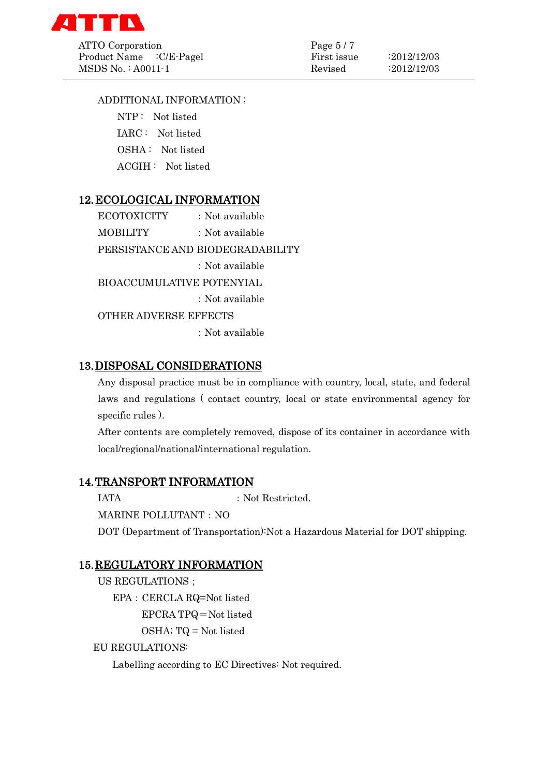

ATTO Corporation Page 5/7 Product Name : C/E-Pagel First issue : 2012/12/03 MSDS No. : A0011-1 Revised :2012/12/03

### ADDITIONAL INFORMATION ;

 NTP : Not listed IARC : Not listed

OSHA : Not listed

ACGIH : Not listed

## 12.ECOLOGICAL INFORMATION

ECOTOXICITY : Not available MOBILITY : Not available PERSISTANCE AND BIODEGRADABILITY :Not available BIOACCUMULATIVE POTENYIAL :Not available OTHER ADVERSE EFFECTS :Not available

## 13.DISPOSAL CONSIDERATIONS

Any disposal practice must be in compliance with country, local, state, and federal laws and regulations ( contact country, local or state environmental agency for specific rules ).

After contents are completely removed, dispose of its container in accordance with local/regional/national/international regulation.

## 14.TRANSPORT INFORMATION

IATA : Not Restricted.

MARINE POLLUTANT: NO

DOT (Department of Transportation):Not a Hazardous Material for DOT shipping.

## 15.REGULATORY INFORMATION

US REGULATIONS ; EPA:CERCLA RQ=Not listed EPCRA TPQ=Not listed OSHA; TQ = Not listed

EU REGULATIONS:

Labelling according to EC Directives: Not required.